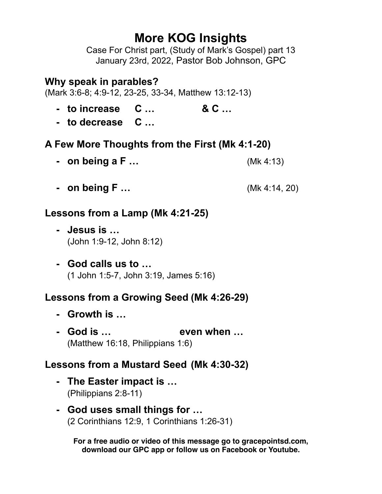# **More KOG Insights**

Case For Christ part, (Study of Mark's Gospel) part 13 January 23rd, 2022, Pastor Bob Johnson, GPC

#### **Why speak in parables?**

(Mark 3:6-8; 4:9-12, 23-25, 33-34, Matthew 13:12-13)

- **- to increase C … & C …**
- **- to decrease C …**

# **A Few More Thoughts from the First (Mk 4:1-20)**

- **- on being a F …** (Mk 4:13)
- **- on being F …** (Mk 4:14, 20)

# **Lessons from a Lamp (Mk 4:21-25)**

- **- Jesus is …**  (John 1:9-12, John 8:12)
- **- God calls us to …** (1 John 1:5-7, John 3:19, James 5:16)

# **Lessons from a Growing Seed (Mk 4:26-29)**

- **- Growth is …**
- **- God is … even when …** (Matthew 16:18, Philippians 1:6)

# **Lessons from a Mustard Seed (Mk 4:30-32)**

- **- The Easter impact is …**  (Philippians 2:8-11)
- **- God uses small things for …** (2 Corinthians 12:9, 1 Corinthians 1:26-31)

**For a free audio or video of this message go to gracepointsd.com, download our GPC app or follow us on Facebook or Youtube.**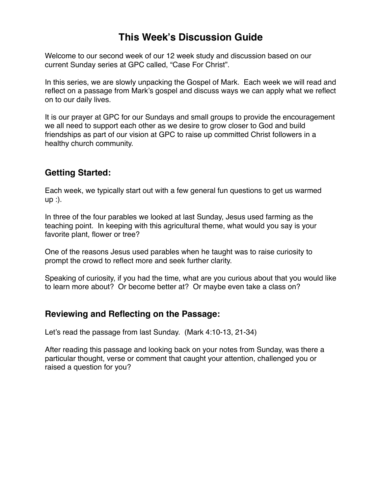# **This Week's Discussion Guide**

Welcome to our second week of our 12 week study and discussion based on our current Sunday series at GPC called, "Case For Christ".

In this series, we are slowly unpacking the Gospel of Mark. Each week we will read and reflect on a passage from Mark's gospel and discuss ways we can apply what we reflect on to our daily lives.

It is our prayer at GPC for our Sundays and small groups to provide the encouragement we all need to support each other as we desire to grow closer to God and build friendships as part of our vision at GPC to raise up committed Christ followers in a healthy church community.

#### **Getting Started:**

Each week, we typically start out with a few general fun questions to get us warmed up :).

In three of the four parables we looked at last Sunday, Jesus used farming as the teaching point. In keeping with this agricultural theme, what would you say is your favorite plant, flower or tree?

One of the reasons Jesus used parables when he taught was to raise curiosity to prompt the crowd to reflect more and seek further clarity.

Speaking of curiosity, if you had the time, what are you curious about that you would like to learn more about? Or become better at? Or maybe even take a class on?

#### **Reviewing and Reflecting on the Passage:**

Let's read the passage from last Sunday. (Mark 4:10-13, 21-34)

After reading this passage and looking back on your notes from Sunday, was there a particular thought, verse or comment that caught your attention, challenged you or raised a question for you?